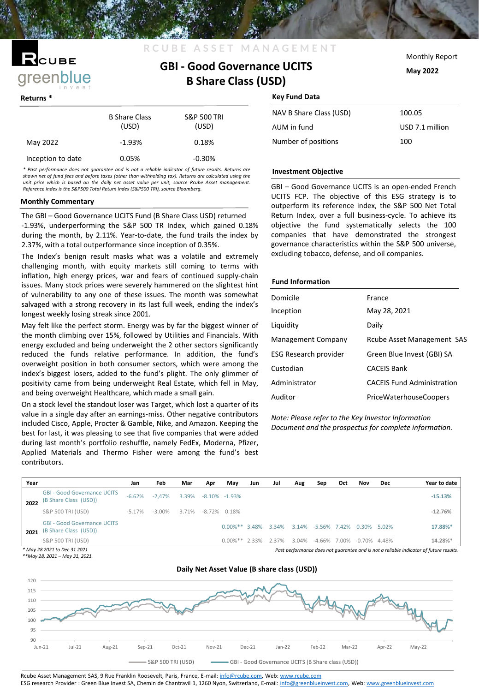# √с∪в∈ greenblue

|                   | <b>B</b> Share Class<br>(USD) | <b>S&amp;P 500 TRI</b><br>(USD) |  |  |  |
|-------------------|-------------------------------|---------------------------------|--|--|--|
| May 2022          | $-1.93%$                      | 0.18%                           |  |  |  |
| Inception to date | 0.05%                         | $-0.30%$                        |  |  |  |

*\* Past performance does not guarantee and is not a reliable indicator of future results. Returns are shown net of fund fees and before taxes (other than withholding tax). Returns are calculated using the unit price which is based on the daily net asset value per unit, source Rcube Asset management. Reference Index is the S&P500 Total Return Index (S&P500 TRI), source Bloomberg.*

### **Monthly Commentary**

The GBI – Good Governance UCITS Fund (B Share Class USD) returned -1.93%, underperforming the S&P 500 TR Index, which gained 0.18% during the month, by 2.11%. Year-to-date, the fund trails the index by 2.37%, with a total outperformance since inception of 0.35%.

The Index's benign result masks what was a volatile and extremely challenging month, with equity markets still coming to terms with inflation, high energy prices, war and fears of continued supply-chain issues. Many stock prices were severely hammered on the slightest hint of vulnerability to any one of these issues. The month was somewhat salvaged with a strong recovery in its last full week, ending the index's longest weekly losing streak since 2001.

May felt like the perfect storm. Energy was by far the biggest winner of the month climbing over 15%, followed by Utilities and Financials. With energy excluded and being underweight the 2 other sectors significantly reduced the funds relative performance. In addition, the fund's overweight position in both consumer sectors, which were among the index's biggest losers, added to the fund's plight. The only glimmer of positivity came from being underweight Real Estate, which fell in May, and being overweight Healthcare, which made a small gain.

On a stock level the standout loser was Target, which lost a quarter of its value in a single day after an earnings-miss. Other negative contributors included Cisco, Apple, Procter & Gamble, Nike, and Amazon. Keeping the best for last, it was pleasing to see that five companies that were added during last month's portfolio reshuffle, namely FedEx, Moderna, Pfizer, Applied Materials and Thermo Fisher were among the fund's best contributors.

Monthly Report

**May 2022**

### **Returns \* Key Fund Data**

**GBI - Good Governance UCITS B Share Class (USD)**

**R C U B E A S S E T M A N A G E** 

| 100.05          |
|-----------------|
| USD 7.1 million |
| 100             |
|                 |

### **Investment Objective**

GBI – Good Governance UCITS is an open-ended French UCITS FCP. The objective of this ESG strategy is to outperform its reference index, the S&P 500 Net Total Return Index, over a full business-cycle. To achieve its objective the fund systematically selects the 100 companies that have demonstrated the strongest governance characteristics within the S&P 500 universe, excluding tobacco, defense, and oil companies.

### **Fund Information**

| Domicile                  | France                            |
|---------------------------|-----------------------------------|
| Inception                 | May 28, 2021                      |
| Liquidity                 | Daily                             |
| <b>Management Company</b> | Rcube Asset Management SAS        |
| ESG Research provider     | Green Blue Invest (GBI) SA        |
| Custodian                 | <b>CACEIS Bank</b>                |
| Administrator             | <b>CACEIS Fund Administration</b> |
| Auditor                   | <b>PriceWaterhouseCoopers</b>     |
|                           |                                   |

*Note: Please refer to the Key Investor Information Document and the prospectus for complete information.*

| Year                                                                                                                   |                                                             | Jan      | Feb       | Mar   | Apr | May               | Jun | Jul   | Aug   | Sep          | Oct   | Nov          | Dec   | Year to date |
|------------------------------------------------------------------------------------------------------------------------|-------------------------------------------------------------|----------|-----------|-------|-----|-------------------|-----|-------|-------|--------------|-------|--------------|-------|--------------|
| 2022                                                                                                                   | <b>GBI - Good Governance UCITS</b><br>(B Share Class (USD)) | $-6.62%$ | $-2.47\%$ | 3.39% |     | $-8.10\% -1.93\%$ |     |       |       |              |       |              |       | $-15.13%$    |
|                                                                                                                        | S&P 500 TRI (USD)                                           | $-5.17%$ | -3.00%    | 3.71% |     | $-8.72\%$ 0.18%   |     |       |       |              |       |              |       | $-12.76%$    |
| 2021                                                                                                                   | <b>GBI - Good Governance UCITS</b><br>(B Share Class (USD)) |          |           |       |     | $0.00\%$ ** 3.48% |     | 3.34% | 3.14% | -5.56% 7.42% |       | 0.30%        | 5.02% | 17.88%*      |
|                                                                                                                        | S&P 500 TRI (USD)                                           |          |           |       |     | $0.00\%$ ** 2.33% |     | 2.37% | 3.04% | -4.66%       | 7.00% | -0.70% 4.48% |       | 14.28%*      |
| * May 28 2021 to Dec 31 2021<br>Past performance does not quarantee and is not a reliable indicator of future results. |                                                             |          |           |       |     |                   |     |       |       |              |       |              |       |              |

*\*\*May 28, 2021 – May 31, 2021.*



Rcube Asset Management SAS, 9 Rue Franklin Roosevelt, Paris, France, E-mail: [info@rcube.com](mailto:info@rcube.com), Web: [www.rcube.com](http://www.rcube.com/)

ESG research Provider : Green Blue Invest SA, Chemin de Chantravil 1, 1260 Nyon, Switzerland, E-mail: [info@greenblueinvest.com,](mailto:info@greenblueinvest.com) Web: [www.greenblueinvest.com](http://www.greenblueinvest.com/)